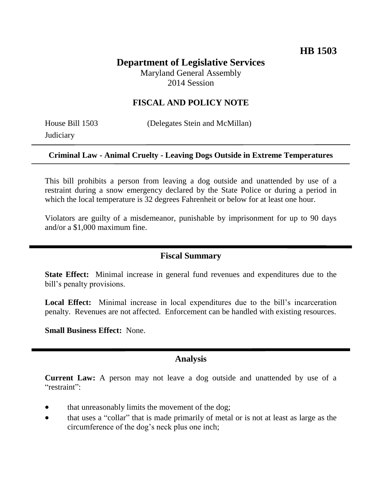# **Department of Legislative Services**

Maryland General Assembly 2014 Session

## **FISCAL AND POLICY NOTE**

**Judiciary** 

House Bill 1503 (Delegates Stein and McMillan)

#### **Criminal Law - Animal Cruelty - Leaving Dogs Outside in Extreme Temperatures**

This bill prohibits a person from leaving a dog outside and unattended by use of a restraint during a snow emergency declared by the State Police or during a period in which the local temperature is 32 degrees Fahrenheit or below for at least one hour.

Violators are guilty of a misdemeanor, punishable by imprisonment for up to 90 days and/or a \$1,000 maximum fine.

### **Fiscal Summary**

**State Effect:** Minimal increase in general fund revenues and expenditures due to the bill's penalty provisions.

Local Effect: Minimal increase in local expenditures due to the bill's incarceration penalty. Revenues are not affected. Enforcement can be handled with existing resources.

**Small Business Effect:** None.

#### **Analysis**

**Current Law:** A person may not leave a dog outside and unattended by use of a "restraint":

- that unreasonably limits the movement of the dog;
- that uses a "collar" that is made primarily of metal or is not at least as large as the circumference of the dog's neck plus one inch;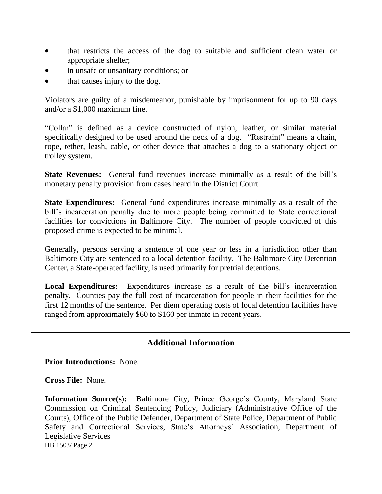- that restricts the access of the dog to suitable and sufficient clean water or appropriate shelter;
- in unsafe or unsanitary conditions; or
- that causes injury to the dog.

Violators are guilty of a misdemeanor, punishable by imprisonment for up to 90 days and/or a \$1,000 maximum fine.

"Collar" is defined as a device constructed of nylon, leather, or similar material specifically designed to be used around the neck of a dog. "Restraint" means a chain, rope, tether, leash, cable, or other device that attaches a dog to a stationary object or trolley system.

**State Revenues:** General fund revenues increase minimally as a result of the bill's monetary penalty provision from cases heard in the District Court.

**State Expenditures:** General fund expenditures increase minimally as a result of the bill's incarceration penalty due to more people being committed to State correctional facilities for convictions in Baltimore City. The number of people convicted of this proposed crime is expected to be minimal.

Generally, persons serving a sentence of one year or less in a jurisdiction other than Baltimore City are sentenced to a local detention facility. The Baltimore City Detention Center, a State-operated facility, is used primarily for pretrial detentions.

**Local Expenditures:** Expenditures increase as a result of the bill's incarceration penalty. Counties pay the full cost of incarceration for people in their facilities for the first 12 months of the sentence. Per diem operating costs of local detention facilities have ranged from approximately \$60 to \$160 per inmate in recent years.

## **Additional Information**

**Prior Introductions:** None.

**Cross File:** None.

HB 1503/ Page 2 **Information Source(s):** Baltimore City, Prince George's County, Maryland State Commission on Criminal Sentencing Policy, Judiciary (Administrative Office of the Courts), Office of the Public Defender, Department of State Police, Department of Public Safety and Correctional Services, State's Attorneys' Association, Department of Legislative Services